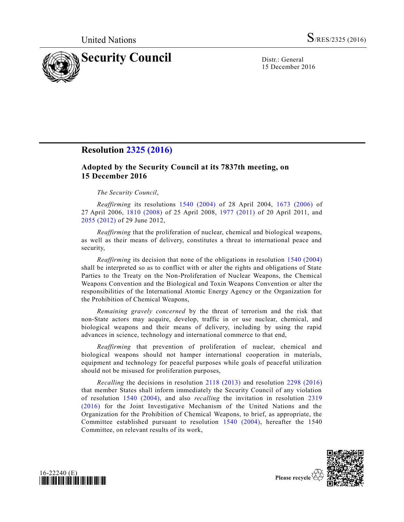

15 December 2016

## **Resolution [2325 \(2016\)](http://undocs.org/S/RES/2325(2016))**

## **Adopted by the Security Council at its 7837th meeting, on 15 December 2016**

## *The Security Council*,

*Reaffirming* its resolutions [1540 \(2004\)](http://undocs.org/S/RES/1540(2004)) of 28 April 2004, [1673 \(2006\)](http://undocs.org/S/RES/1673(2006)) of 27 April 2006, [1810 \(2008\)](http://undocs.org/S/RES/1810(2008)) of 25 April 2008, [1977 \(2011\)](http://undocs.org/S/RES/1977(2011)) of 20 April 2011, and [2055 \(2012\)](http://undocs.org/S/RES/2055(2012)) of 29 June 2012,

*Reaffirming* that the proliferation of nuclear, chemical and biological weapons, as well as their means of delivery, constitutes a threat to international peace and security,

*Reaffirming* its decision that none of the obligations in resolution [1540 \(2004\)](http://undocs.org/S/RES/1540(2004)) shall be interpreted so as to conflict with or alter the rights and obligations of State Parties to the Treaty on the Non-Proliferation of Nuclear Weapons, the Chemical Weapons Convention and the Biological and Toxin Weapons Convention or alter the responsibilities of the International Atomic Energy Agency or the Organization for the Prohibition of Chemical Weapons,

*Remaining gravely concerned* by the threat of terrorism and the risk that non-State actors may acquire, develop, traffic in or use nuclear, chemical, and biological weapons and their means of delivery, including by using the rapid advances in science, technology and international commerce to that end,

*Reaffirming* that prevention of proliferation of nuclear, chemical and biological weapons should not hamper international cooperation in materials, equipment and technology for peaceful purposes while goals of peaceful utilization should not be misused for proliferation purposes,

*Recalling* the decisions in resolution [2118 \(2013\)](http://undocs.org/S/RES/2118(2013)) and resolution [2298 \(2016\)](http://undocs.org/S/RES/2298(2016)) that member States shall inform immediately the Security Council of any violation of resolution [1540 \(2004\),](http://undocs.org/S/RES/1540(2004)) and also *recalling* the invitation in resolution [2319](http://undocs.org/S/RES/2319(2016))  [\(2016\)](http://undocs.org/S/RES/2319(2016)) for the Joint Investigative Mechanism of the United Nations and the Organization for the Prohibition of Chemical Weapons, to brief, as appropriate, the Committee established pursuant to resolution [1540 \(2004\),](http://undocs.org/S/RES/1540(2004)) hereafter the 1540 Committee, on relevant results of its work,





Please recycle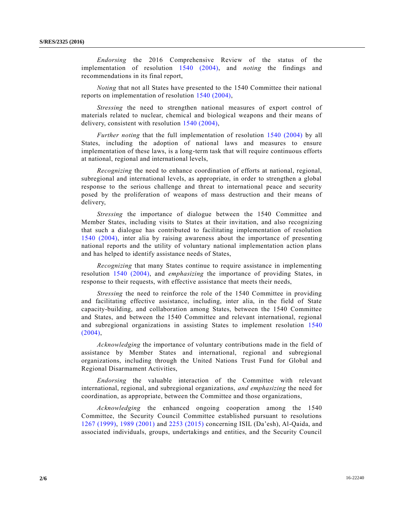*Endorsing* the 2016 Comprehensive Review of the status of the implementation of resolution [1540 \(2004\),](http://undocs.org/S/RES/1540(2004)) and *noting* the findings and recommendations in its final report,

*Noting* that not all States have presented to the 1540 Committee their national reports on implementation of resolution [1540 \(2004\),](http://undocs.org/S/RES/1540(2004))

*Stressing* the need to strengthen national measures of export control of materials related to nuclear, chemical and biological weapons and their means of delivery, consistent with resolution [1540 \(2004\),](http://undocs.org/S/RES/1540(2004))

*Further noting* that the full implementation of resolution [1540 \(2004\)](http://undocs.org/S/RES/1540(2004)) by all States, including the adoption of national laws and measures to ensure implementation of these laws, is a long-term task that will require continuous efforts at national, regional and international levels,

*Recognizing* the need to enhance coordination of efforts at national, regional, subregional and international levels, as appropriate, in order to strengthen a global response to the serious challenge and threat to international peace and security posed by the proliferation of weapons of mass destruction and their means of delivery,

*Stressing* the importance of dialogue between the 1540 Committee and Member States, including visits to States at their invitation, and also recognizing that such a dialogue has contributed to facilitating implementation of resolution [1540 \(2004\),](http://undocs.org/S/RES/1540(2004)) inter alia by raising awareness about the importance of presenting national reports and the utility of voluntary national implementation action plans and has helped to identify assistance needs of States,

*Recognizing* that many States continue to require assistance in implementing resolution [1540 \(2004\),](http://undocs.org/S/RES/1540(2004)) and *emphasizing* the importance of providing States, in response to their requests, with effective assistance that meets their needs,

*Stressing* the need to reinforce the role of the 1540 Committee in providing and facilitating effective assistance, including, inter alia, in the field of State capacity-building, and collaboration among States, between the 1540 Committee and States, and between the 1540 Committee and relevant international, regional and subregional organizations in assisting States to implement resolution [1540](http://undocs.org/S/RES/1540(2004))   $(2004)$ ,

*Acknowledging* the importance of voluntary contributions made in the field of assistance by Member States and international, regional and subregional organizations, including through the United Nations Trust Fund for Global and Regional Disarmament Activities,

*Endorsing* the valuable interaction of the Committee with relevant international, regional, and subregional organizations, *and emphasizing* the need for coordination, as appropriate, between the Committee and those organizations,

*Acknowledging* the enhanced ongoing cooperation among the 1540 Committee, the Security Council Committee established pursuant to resolutions [1267 \(1999\),](http://undocs.org/S/RES/1267(1999)) [1989 \(2001\)](http://undocs.org/S/RES/1989(2001)) and [2253 \(2015\)](http://undocs.org/S/RES/2253(2015)) concerning ISIL (Da'esh), Al-Qaida, and associated individuals, groups, undertakings and entities, and the Security Council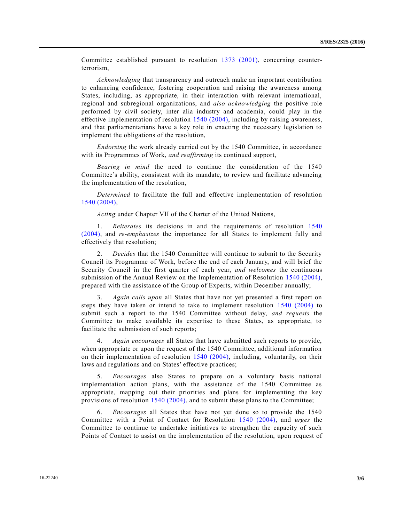Committee established pursuant to resolution [1373 \(2001\),](http://undocs.org/S/RES/1373(2001)) concerning counterterrorism,

*Acknowledging* that transparency and outreach make an important contribution to enhancing confidence, fostering cooperation and raising the awareness among States, including, as appropriate, in their interaction with relevant international, regional and subregional organizations, and *also acknowledging* the positive role performed by civil society, inter alia industry and academia, could play in the effective implementation of resolution [1540 \(2004\),](http://undocs.org/S/RES/1540(2004)) including by raising awareness, and that parliamentarians have a key role in enacting the necessary legislation to implement the obligations of the resolution,

*Endorsing* the work already carried out by the 1540 Committee, in accordance with its Programmes of Work, *and reaffirming* its continued support,

*Bearing in mind* the need to continue the consideration of the 1540 Committee's ability, consistent with its mandate, to review and facilitate advancing the implementation of the resolution,

*Determined* to facilitate the full and effective implementation of resolution [1540 \(2004\),](http://undocs.org/S/RES/1540(2004))

*Acting* under Chapter VII of the Charter of the United Nations,

1. *Reiterates* its decisions in and the requirements of resolution [1540](http://undocs.org/S/RES/1540(2004))  [\(2004\),](http://undocs.org/S/RES/1540(2004)) and *re-emphasizes* the importance for all States to implement fully and effectively that resolution;

2. *Decides* that the 1540 Committee will continue to submit to the Security Council its Programme of Work, before the end of each January, and will brief the Security Council in the first quarter of each year, *and welcomes* the continuous submission of the Annual Review on the Implementation of Resolution [1540 \(2004\),](http://undocs.org/S/RES/1540(2004)) prepared with the assistance of the Group of Experts, within December annually;

3. *Again calls upon* all States that have not yet presented a first report on steps they have taken or intend to take to implement resolution [1540 \(2004\)](http://undocs.org/S/RES/1540(2004)) to submit such a report to the 1540 Committee without delay, *and requests* the Committee to make available its expertise to these States, as appropriate, to facilitate the submission of such reports;

4. *Again encourages* all States that have submitted such reports to provide, when appropriate or upon the request of the 1540 Committee, additional information on their implementation of resolution [1540 \(2004\),](http://undocs.org/S/RES/1540(2004)) including, voluntarily, on their laws and regulations and on States' effective practices;

5. *Encourages* also States to prepare on a voluntary basis national implementation action plans, with the assistance of the 1540 Committee as appropriate, mapping out their priorities and plans for implementing the key provisions of resolution [1540 \(2004\),](http://undocs.org/S/RES/1540(2004)) and to submit these plans to the Committee;

6. *Encourages* all States that have not yet done so to provide the 1540 Committee with a Point of Contact for Resolution [1540 \(2004\),](http://undocs.org/S/RES/1540(2004)) and *urges* the Committee to continue to undertake initiatives to strengthen the capacity of such Points of Contact to assist on the implementation of the resolution, upon request of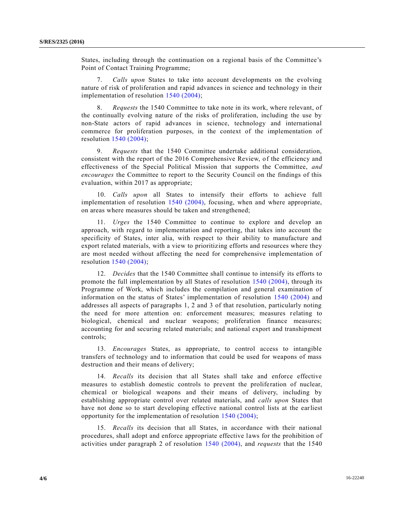States, including through the continuation on a regional basis of the Committee's Point of Contact Training Programme;

7. *Calls upon* States to take into account developments on the evolving nature of risk of proliferation and rapid advances in science and technology in their implementation of resolution [1540 \(2004\);](http://undocs.org/S/RES/1540(2004))

8. *Requests* the 1540 Committee to take note in its work, where relevant, of the continually evolving nature of the risks of proliferation, including the use by non-State actors of rapid advances in science, technology and international commerce for proliferation purposes, in the context of the implementation of resolution [1540 \(2004\);](http://undocs.org/S/RES/1540(2004))

9. *Requests* that the 1540 Committee undertake additional consideration, consistent with the report of the 2016 Comprehensive Review, of the efficiency and effectiveness of the Special Political Mission that supports the Committee, *and encourages* the Committee to report to the Security Council on the findings of this evaluation, within 2017 as appropriate;

10. *Calls upon* all States to intensify their efforts to achieve full implementation of resolution [1540 \(2004\),](http://undocs.org/S/RES/1540(2004)) focusing, when and where appropriate, on areas where measures should be taken and strengthened;

11. *Urges* the 1540 Committee to continue to explore and develop an approach, with regard to implementation and reporting, that takes into account the specificity of States, inter alia, with respect to their ability to manufacture and export related materials, with a view to prioritizing efforts and resources where they are most needed without affecting the need for comprehensive implementation of resolution [1540 \(2004\);](http://undocs.org/S/RES/1540(2004))

12. *Decides* that the 1540 Committee shall continue to intensify its efforts to promote the full implementation by all States of resolution [1540 \(2004\),](http://undocs.org/S/RES/1540(2004)) through its Programme of Work, which includes the compilation and general examination of information on the status of States' implementation of resolution [1540 \(2004\)](http://undocs.org/S/RES/1540(2004)) and addresses all aspects of paragraphs 1, 2 and 3 of that resolution, particularly noting the need for more attention on: enforcement measures; measures relating to biological, chemical and nuclear weapons; proliferation finance measures; accounting for and securing related materials; and national export and transhipment controls;

13. *Encourages* States, as appropriate, to control access to intangible transfers of technology and to information that could be used for weapons of mass destruction and their means of delivery;

14. *Recalls* its decision that all States shall take and enforce effective measures to establish domestic controls to prevent the proliferation of nuclear, chemical or biological weapons and their means of delivery, including by establishing appropriate control over related materials, and *calls upon* States that have not done so to start developing effective national control lists at the earliest opportunity for the implementation of resolution [1540 \(2004\);](http://undocs.org/S/RES/1540(2004))

15. *Recalls* its decision that all States, in accordance with their national procedures, shall adopt and enforce appropriate effective laws for the prohibition of activities under paragraph 2 of resolution [1540 \(2004\),](http://undocs.org/S/RES/1540(2004)) and *requests* that the 1540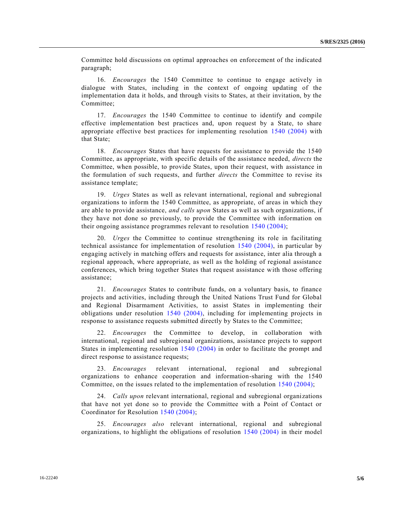Committee hold discussions on optimal approaches on enforcement of the indicated paragraph;

16. *Encourages* the 1540 Committee to continue to engage actively in dialogue with States, including in the context of ongoing updating of the implementation data it holds, and through visits to States, at their invitation, by the Committee;

17. *Encourages* the 1540 Committee to continue to identify and compile effective implementation best practices and, upon request by a State, to share appropriate effective best practices for implementing resolution [1540 \(2004\)](http://undocs.org/S/RES/1540(2004)) with that State;

18. *Encourages* States that have requests for assistance to provide the 1540 Committee, as appropriate, with specific details of the assistance needed, *directs* the Committee, when possible, to provide States, upon their request, with assistance in the formulation of such requests, and further *directs* the Committee to revise its assistance template;

19. *Urges* States as well as relevant international, regional and subregional organizations to inform the 1540 Committee, as appropriate, of areas in which they are able to provide assistance, *and calls upon* States as well as such organizations, if they have not done so previously, to provide the Committee with information on their ongoing assistance programmes relevant to resolution [1540 \(2004\);](http://undocs.org/S/RES/1540(2004))

20. *Urges* the Committee to continue strengthening its role in facilitating technical assistance for implementation of resolution [1540 \(2004\),](http://undocs.org/S/RES/1540(2004)) in particular by engaging actively in matching offers and requests for assistance, inter alia through a regional approach, where appropriate, as well as the holding of regional assistance conferences, which bring together States that request assistance with those offering assistance;

21. *Encourages* States to contribute funds, on a voluntary basis, to finance projects and activities, including through the United Nations Trust Fund for Global and Regional Disarmament Activities, to assist States in implementing their obligations under resolution [1540 \(2004\),](http://undocs.org/S/RES/1540(2004)) including for implementing projects in response to assistance requests submitted directly by States to the Committee;

22. *Encourages* the Committee to develop, in collaboration with international, regional and subregional organizations, assistance projects to support States in implementing resolution [1540 \(2004\)](http://undocs.org/S/RES/1540(2004)) in order to facilitate the prompt and direct response to assistance requests;

23. *Encourages* relevant international, regional and subregional organizations to enhance cooperation and information-sharing with the 1540 Committee, on the issues related to the implementation of resolution 1540 [\(2004\);](http://undocs.org/S/RES/1540(2004))

24. *Calls upon* relevant international, regional and subregional organizations that have not yet done so to provide the Committee with a Point of Contact or Coordinator for Resolution [1540 \(2004\);](http://undocs.org/S/RES/1540(2004))

25. *Encourages also* relevant international, regional and subregional organizations, to highlight the obligations of resolution [1540 \(2004\)](http://undocs.org/S/RES/1540(2004)) in their model